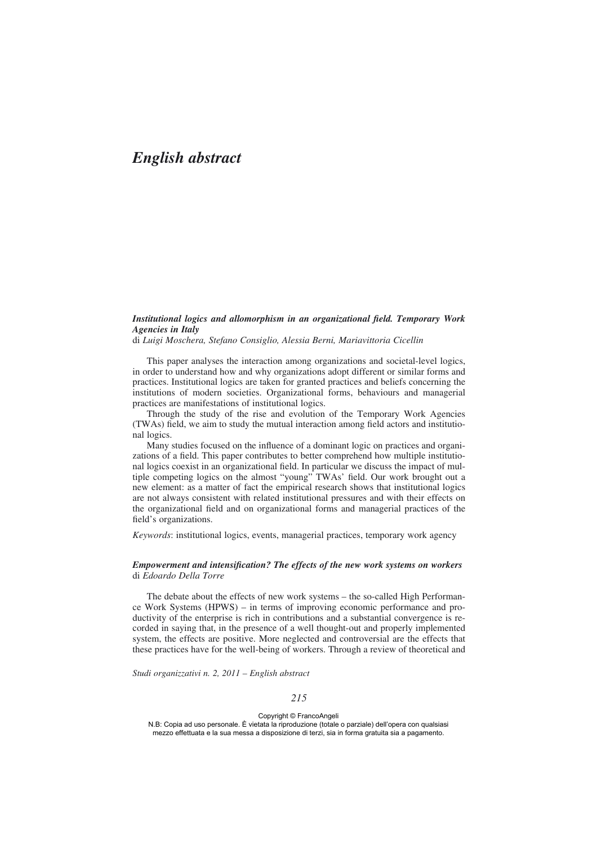# *English abstract*

### *Institutional logics and allomorphism in an organizational field. Temporary Work Agencies in Italy*

di *Luigi Moschera, Stefano Consiglio, Alessia Berni, Mariavittoria Cicellin*

This paper analyses the interaction among organizations and societal-level logics, in order to understand how and why organizations adopt different or similar forms and practices. Institutional logics are taken for granted practices and beliefs concerning the institutions of modern societies. Organizational forms, behaviours and managerial practices are manifestations of institutional logics.

Through the study of the rise and evolution of the Temporary Work Agencies (TWAs) field, we aim to study the mutual interaction among field actors and institutional logics.

Many studies focused on the influence of a dominant logic on practices and organizations of a field. This paper contributes to better comprehend how multiple institutional logics coexist in an organizational field. In particular we discuss the impact of multiple competing logics on the almost "young" TWAs' field. Our work brought out a new element: as a matter of fact the empirical research shows that institutional logics are not always consistent with related institutional pressures and with their effects on the organizational field and on organizational forms and managerial practices of the field's organizations.

*Keywords*: institutional logics, events, managerial practices, temporary work agency

#### *Empowerment and intensification? The effects of the new work systems on workers* di *Edoardo Della Torre*

The debate about the effects of new work systems – the so-called High Performance Work Systems (HPWS) – in terms of improving economic performance and productivity of the enterprise is rich in contributions and a substantial convergence is recorded in saying that, in the presence of a well thought-out and properly implemented system, the effects are positive. More neglected and controversial are the effects that these practices have for the well-being of workers. Through a review of theoretical and

*Studi organizzativi n. 2, 2011 – English abstract*

Copyright © FrancoAngeli N.B: Copia ad uso personale. È vietata la riproduzione (totale o parziale) dell'opera con qualsiasi mezzo effettuata e la sua messa a disposizione di terzi, sia in forma gratuita sia a pagamento.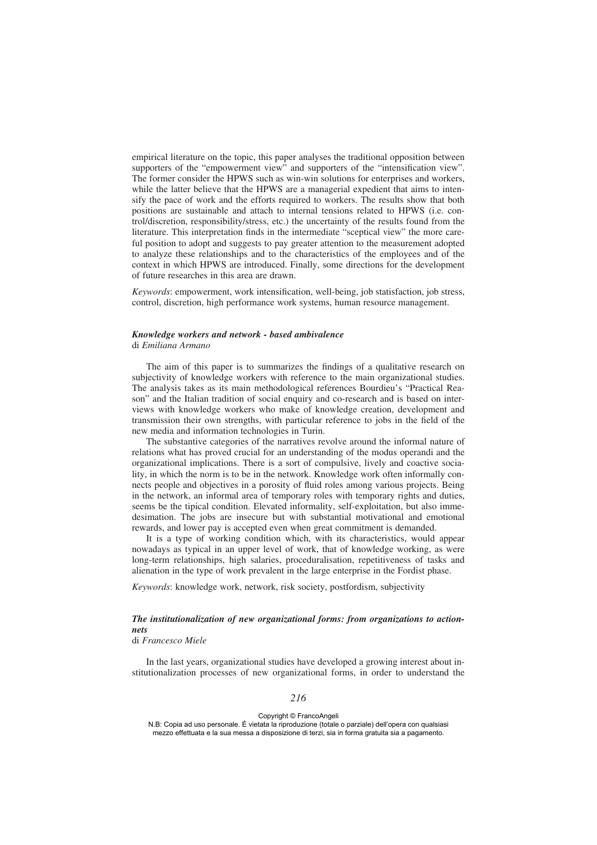empirical literature on the topic, this paper analyses the traditional opposition between supporters of the "empowerment view" and supporters of the "intensification view". The former consider the HPWS such as win-win solutions for enterprises and workers, while the latter believe that the HPWS are a managerial expedient that aims to intensify the pace of work and the efforts required to workers. The results show that both positions are sustainable and attach to internal tensions related to HPWS (i.e. control/discretion, responsibility/stress, etc.) the uncertainty of the results found from the literature. This interpretation finds in the intermediate "sceptical view" the more careful position to adopt and suggests to pay greater attention to the measurement adopted to analyze these relationships and to the characteristics of the employees and of the context in which HPWS are introduced. Finally, some directions for the development of future researches in this area are drawn.

*Keywords*: empowerment, work intensification, well-being, job statisfaction, job stress, control, discretion, high performance work systems, human resource management.

# *Knowledge workers and network - based ambivalence*

di *Emiliana Armano*

The aim of this paper is to summarizes the findings of a qualitative research on subjectivity of knowledge workers with reference to the main organizational studies. The analysis takes as its main methodological references Bourdieu's "Practical Reason" and the Italian tradition of social enquiry and co-research and is based on interviews with knowledge workers who make of knowledge creation, development and transmission their own strengths, with particular reference to jobs in the field of the new media and information technologies in Turin.

The substantive categories of the narratives revolve around the informal nature of relations what has proved crucial for an understanding of the modus operandi and the organizational implications. There is a sort of compulsive, lively and coactive sociality, in which the norm is to be in the network. Knowledge work often informally connects people and objectives in a porosity of fluid roles among various projects. Being in the network, an informal area of temporary roles with temporary rights and duties, seems be the tipical condition. Elevated informality, self-exploitation, but also immedesimation. The jobs are insecure but with substantial motivational and emotional rewards, and lower pay is accepted even when great commitment is demanded.

It is a type of working condition which, with its characteristics, would appear nowadays as typical in an upper level of work, that of knowledge working, as were long-term relationships, high salaries, proceduralisation, repetitiveness of tasks and alienation in the type of work prevalent in the large enterprise in the Fordist phase.

*Keywords*: knowledge work, network, risk society, postfordism, subjectivity

# *The institutionalization of new organizational forms: from organizations to actionnets*

di *Francesco Miele*

In the last years, organizational studies have developed a growing interest about institutionalization processes of new organizational forms, in order to understand the

Copyright © FrancoAngeli

N.B: Copia ad uso personale. È vietata la riproduzione (totale o parziale) dell'opera con qualsiasi mezzo effettuata e la sua messa a disposizione di terzi, sia in forma gratuita sia a pagamento.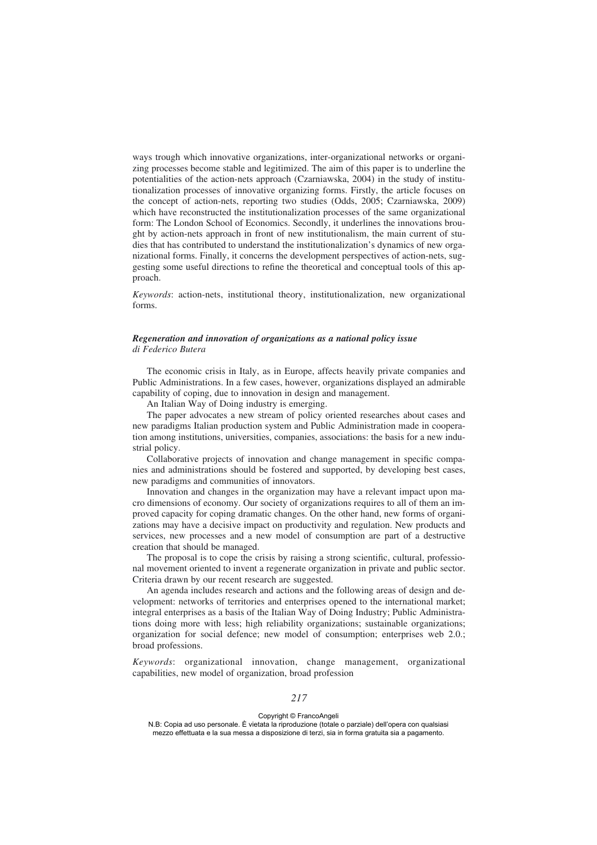ways trough which innovative organizations, inter-organizational networks or organizing processes become stable and legitimized. The aim of this paper is to underline the potentialities of the action-nets approach (Czarniawska, 2004) in the study of institutionalization processes of innovative organizing forms. Firstly, the article focuses on the concept of action-nets, reporting two studies (Odds, 2005; Czarniawska, 2009) which have reconstructed the institutionalization processes of the same organizational form: The London School of Economics. Secondly, it underlines the innovations brought by action-nets approach in front of new institutionalism, the main current of studies that has contributed to understand the institutionalization's dynamics of new organizational forms. Finally, it concerns the development perspectives of action-nets, suggesting some useful directions to refine the theoretical and conceptual tools of this approach.

*Keywords*: action-nets, institutional theory, institutionalization, new organizational forms.

## *Regeneration and innovation of organizations as a national policy issue di Federico Butera*

The economic crisis in Italy, as in Europe, affects heavily private companies and Public Administrations. In a few cases, however, organizations displayed an admirable capability of coping, due to innovation in design and management.

An Italian Way of Doing industry is emerging.

The paper advocates a new stream of policy oriented researches about cases and new paradigms Italian production system and Public Administration made in cooperation among institutions, universities, companies, associations: the basis for a new industrial policy.

Collaborative projects of innovation and change management in specific companies and administrations should be fostered and supported, by developing best cases, new paradigms and communities of innovators.

Innovation and changes in the organization may have a relevant impact upon macro dimensions of economy. Our society of organizations requires to all of them an improved capacity for coping dramatic changes. On the other hand, new forms of organizations may have a decisive impact on productivity and regulation. New products and services, new processes and a new model of consumption are part of a destructive creation that should be managed.

The proposal is to cope the crisis by raising a strong scientific, cultural, professional movement oriented to invent a regenerate organization in private and public sector. Criteria drawn by our recent research are suggested.

An agenda includes research and actions and the following areas of design and development: networks of territories and enterprises opened to the international market; integral enterprises as a basis of the Italian Way of Doing Industry; Public Administrations doing more with less; high reliability organizations; sustainable organizations; organization for social defence; new model of consumption; enterprises web 2.0.; broad professions.

*Keywords*: organizational innovation, change management, organizational capabilities, new model of organization, broad profession

Copyright © FrancoAngeli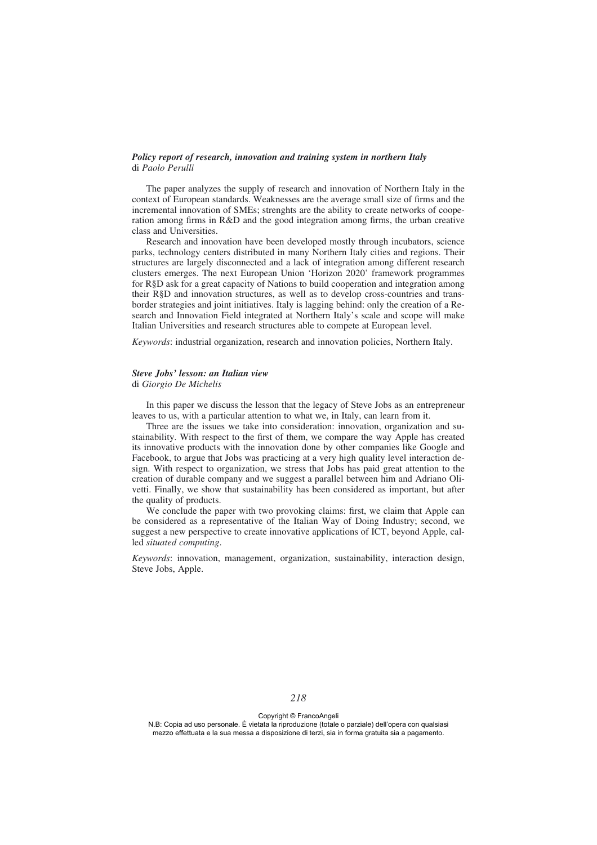#### *Policy report of research, innovation and training system in northern Italy* di *Paolo Perulli*

The paper analyzes the supply of research and innovation of Northern Italy in the context of European standards. Weaknesses are the average small size of firms and the incremental innovation of SMEs; strenghts are the ability to create networks of cooperation among firms in R&D and the good integration among firms, the urban creative class and Universities.

Research and innovation have been developed mostly through incubators, science parks, technology centers distributed in many Northern Italy cities and regions. Their structures are largely disconnected and a lack of integration among different research clusters emerges. The next European Union 'Horizon 2020' framework programmes for R§D ask for a great capacity of Nations to build cooperation and integration among their R§D and innovation structures, as well as to develop cross-countries and transborder strategies and joint initiatives. Italy is lagging behind: only the creation of a Research and Innovation Field integrated at Northern Italy's scale and scope will make Italian Universities and research structures able to compete at European level.

*Keywords*: industrial organization, research and innovation policies, Northern Italy.

### *Steve Jobs' lesson: an Italian view*

di *Giorgio De Michelis*

In this paper we discuss the lesson that the legacy of Steve Jobs as an entrepreneur leaves to us, with a particular attention to what we, in Italy, can learn from it.

Three are the issues we take into consideration: innovation, organization and sustainability. With respect to the first of them, we compare the way Apple has created its innovative products with the innovation done by other companies like Google and Facebook, to argue that Jobs was practicing at a very high quality level interaction design. With respect to organization, we stress that Jobs has paid great attention to the creation of durable company and we suggest a parallel between him and Adriano Olivetti. Finally, we show that sustainability has been considered as important, but after the quality of products.

We conclude the paper with two provoking claims: first, we claim that Apple can be considered as a representative of the Italian Way of Doing Industry; second, we suggest a new perspective to create innovative applications of ICT, beyond Apple, called *situated computing*.

*Keywords*: innovation, management, organization, sustainability, interaction design, Steve Jobs, Apple.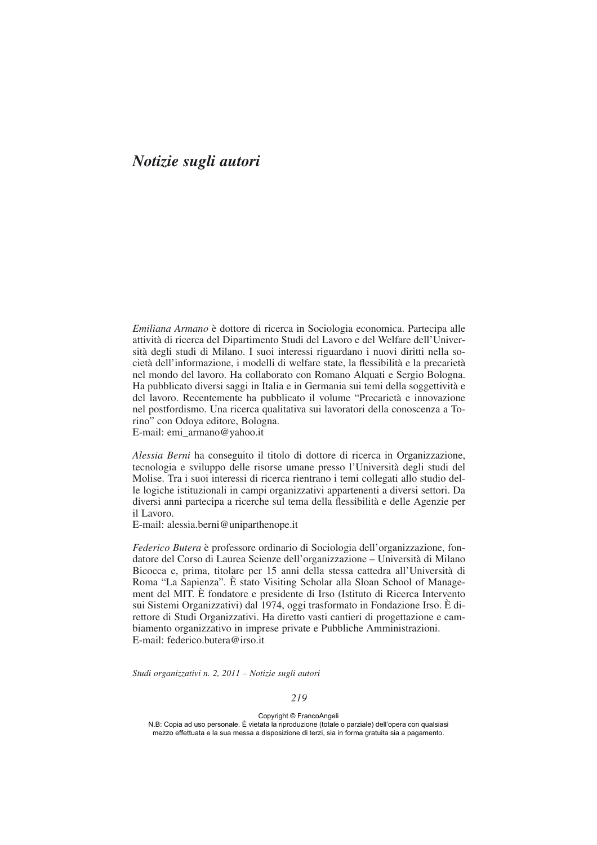# *Notizie sugli autori*

*Emiliana Armano* è dottore di ricerca in Sociologia economica. Partecipa alle attività di ricerca del Dipartimento Studi del Lavoro e del Welfare dell'Università degli studi di Milano. I suoi interessi riguardano i nuovi diritti nella società dell'informazione, i modelli di welfare state, la flessibilità e la precarietà nel mondo del lavoro. Ha collaborato con Romano Alquati e Sergio Bologna. Ha pubblicato diversi saggi in Italia e in Germania sui temi della soggettività e del lavoro. Recentemente ha pubblicato il volume "Precarietà e innovazione nel postfordismo. Una ricerca qualitativa sui lavoratori della conoscenza a Torino" con Odoya editore, Bologna.

E-mail: emi\_armano@yahoo.it

*Alessia Berni* ha conseguito il titolo di dottore di ricerca in Organizzazione, tecnologia e sviluppo delle risorse umane presso l'Università degli studi del Molise. Tra i suoi interessi di ricerca rientrano i temi collegati allo studio delle logiche istituzionali in campi organizzativi appartenenti a diversi settori. Da diversi anni partecipa a ricerche sul tema della flessibilità e delle Agenzie per il Lavoro.

E-mail: alessia.berni@uniparthenope.it

*Federico Butera* è professore ordinario di Sociologia dell'organizzazione, fondatore del Corso di Laurea Scienze dell'organizzazione – Università di Milano Bicocca e, prima, titolare per 15 anni della stessa cattedra all'Università di Roma "La Sapienza". È stato Visiting Scholar alla Sloan School of Management del MIT. È fondatore e presidente di Irso (Istituto di Ricerca Intervento sui Sistemi Organizzativi) dal 1974, oggi trasformato in Fondazione Irso. È direttore di Studi Organizzativi. Ha diretto vasti cantieri di progettazione e cambiamento organizzativo in imprese private e Pubbliche Amministrazioni. E-mail: federico.butera@irso.it

*Studi organizzativi n. 2, 2011 – Notizie sugli autori*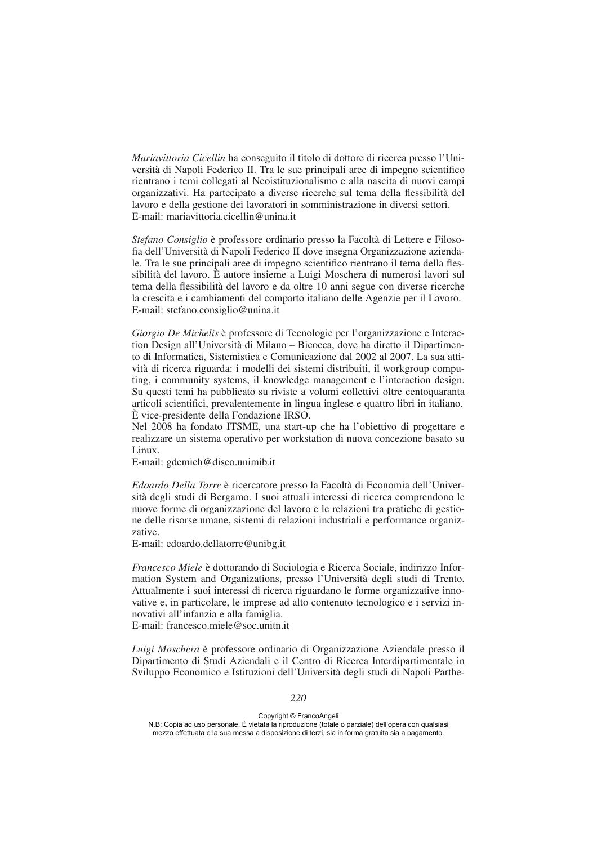*Mariavittoria Cicellin* ha conseguito il titolo di dottore di ricerca presso l'Università di Napoli Federico II. Tra le sue principali aree di impegno scientifico rientrano i temi collegati al Neoistituzionalismo e alla nascita di nuovi campi organizzativi. Ha partecipato a diverse ricerche sul tema della flessibilità del lavoro e della gestione dei lavoratori in somministrazione in diversi settori. E-mail: mariavittoria.cicellin@unina.it

*Stefano Consiglio* è professore ordinario presso la Facoltà di Lettere e Filosofia dell'Università di Napoli Federico II dove insegna Organizzazione aziendale. Tra le sue principali aree di impegno scientifico rientrano il tema della flessibilità del lavoro. È autore insieme a Luigi Moschera di numerosi lavori sul tema della flessibilità del lavoro e da oltre 10 anni segue con diverse ricerche la crescita e i cambiamenti del comparto italiano delle Agenzie per il Lavoro. E-mail: stefano.consiglio@unina.it

*Giorgio De Michelis* è professore di Tecnologie per l'organizzazione e Interaction Design all'Università di Milano – Bicocca, dove ha diretto il Dipartimento di Informatica, Sistemistica e Comunicazione dal 2002 al 2007. La sua attività di ricerca riguarda: i modelli dei sistemi distribuiti, il workgroup computing, i community systems, il knowledge management e l'interaction design. Su questi temi ha pubblicato su riviste a volumi collettivi oltre centoquaranta articoli scientifici, prevalentemente in lingua inglese e quattro libri in italiano. È vice-presidente della Fondazione IRSO.

Nel 2008 ha fondato ITSME, una start-up che ha l'obiettivo di progettare e realizzare un sistema operativo per workstation di nuova concezione basato su Linux.

E-mail: gdemich@disco.unimib.it

*Edoardo Della Torre* è ricercatore presso la Facoltà di Economia dell'Università degli studi di Bergamo. I suoi attuali interessi di ricerca comprendono le nuove forme di organizzazione del lavoro e le relazioni tra pratiche di gestione delle risorse umane, sistemi di relazioni industriali e performance organizzative.

E-mail: edoardo.dellatorre@unibg.it

*Francesco Miele* è dottorando di Sociologia e Ricerca Sociale, indirizzo Information System and Organizations, presso l'Università degli studi di Trento. Attualmente i suoi interessi di ricerca riguardano le forme organizzative innovative e, in particolare, le imprese ad alto contenuto tecnologico e i servizi innovativi all'infanzia e alla famiglia.

E-mail: francesco.miele@soc.unitn.it

*Luigi Moschera* è professore ordinario di Organizzazione Aziendale presso il Dipartimento di Studi Aziendali e il Centro di Ricerca Interdipartimentale in Sviluppo Economico e Istituzioni dell'Università degli studi di Napoli Parthe